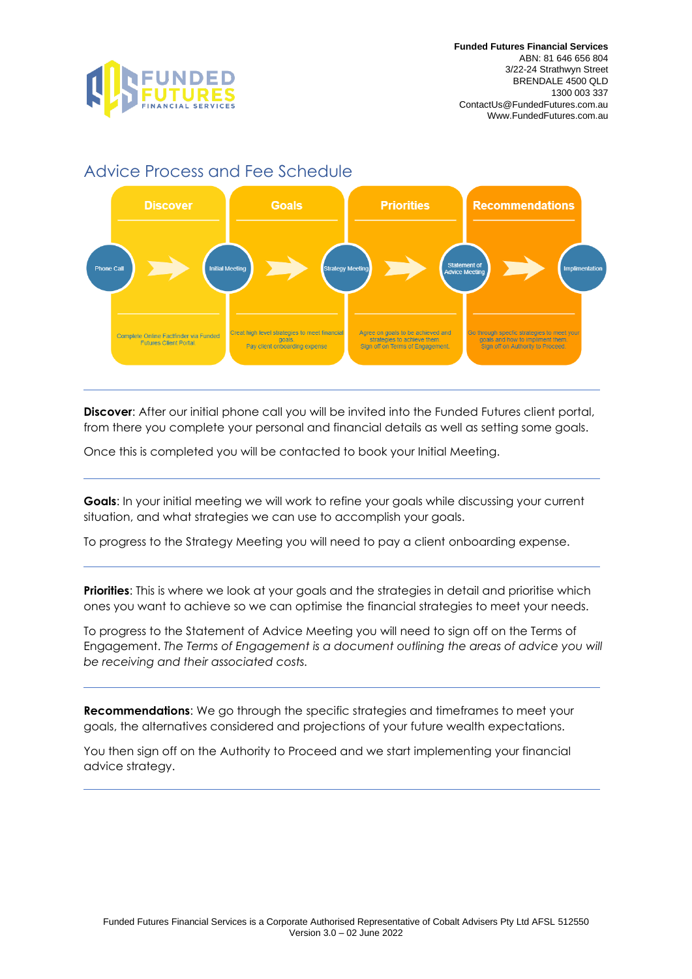

## Advice Process and Fee Schedule



**Discover**: After our initial phone call you will be invited into the Funded Futures client portal, from there you complete your personal and financial details as well as setting some goals.

Once this is completed you will be contacted to book your Initial Meeting.

**Goals:** In your initial meeting we will work to refine your goals while discussing your current situation, and what strategies we can use to accomplish your goals.

To progress to the Strategy Meeting you will need to pay a client onboarding expense.

**Priorities**: This is where we look at your goals and the strategies in detail and prioritise which ones you want to achieve so we can optimise the financial strategies to meet your needs.

To progress to the Statement of Advice Meeting you will need to sign off on the Terms of Engagement. *The Terms of Engagement is a document outlining the areas of advice you will be receiving and their associated costs.*

**Recommendations**: We go through the specific strategies and timeframes to meet your goals, the alternatives considered and projections of your future wealth expectations.

You then sign off on the Authority to Proceed and we start implementing your financial advice strategy.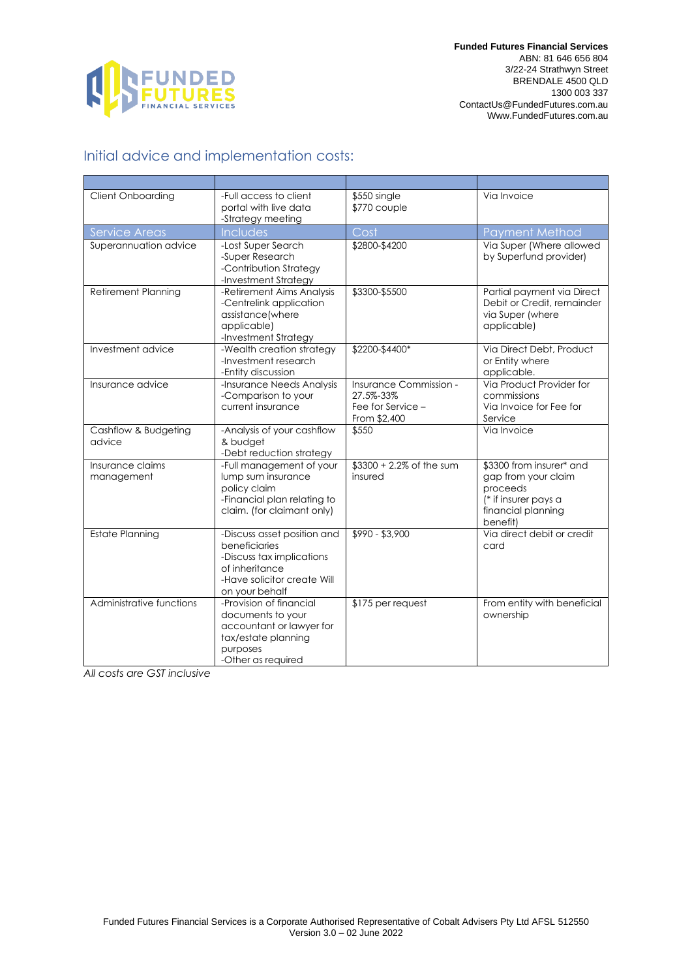

## Initial advice and implementation costs:

| <b>Client Onboarding</b>       | -Full access to client<br>portal with live data<br>-Strategy meeting                                                                         | \$550 single<br>\$770 couple                                             | Via Invoice                                                                                                           |
|--------------------------------|----------------------------------------------------------------------------------------------------------------------------------------------|--------------------------------------------------------------------------|-----------------------------------------------------------------------------------------------------------------------|
| Service Areas                  | Includes                                                                                                                                     | Cost                                                                     | <b>Payment Method</b>                                                                                                 |
| Superannuation advice          | -Lost Super Search<br>-Super Research<br>-Contribution Strategy<br>-Investment Strategy                                                      | \$2800-\$4200                                                            | Via Super (Where allowed<br>by Superfund provider)                                                                    |
| Retirement Planning            | -Retirement Aims Analysis<br>-Centrelink application<br>assistance(where<br>applicable)<br>-Investment Strategy                              | \$3300-\$5500                                                            | Partial payment via Direct<br>Debit or Credit, remainder<br>via Super (where<br>applicable)                           |
| Investment advice              | -Wealth creation strategy<br>-Investment research<br>-Entity discussion                                                                      | \$2200-\$4400*                                                           | Via Direct Debt, Product<br>or Entity where<br>applicable.                                                            |
| Insurance advice               | -Insurance Needs Analysis<br>-Comparison to your<br>current insurance                                                                        | Insurance Commission -<br>27.5%-33%<br>Fee for Service -<br>From \$2,400 | Via Product Provider for<br>commissions<br>Via Invoice for Fee for<br>Service                                         |
| Cashflow & Budgeting<br>advice | -Analysis of your cashflow<br>& budget<br>-Debt reduction strategy                                                                           | \$550                                                                    | Via Invoice                                                                                                           |
| Insurance claims<br>management | -Full management of your<br>lump sum insurance<br>policy claim<br>-Financial plan relating to<br>claim. (for claimant only)                  | \$3300 + 2.2% of the sum<br>insured                                      | \$3300 from insurer* and<br>gap from your claim<br>proceeds<br>(* if insurer pays a<br>financial planning<br>benefit) |
| <b>Estate Planning</b>         | -Discuss asset position and<br>beneficiaries<br>-Discuss tax implications<br>of inheritance<br>-Have solicitor create Will<br>on your behalf | \$990 - \$3,900                                                          | Via direct debit or credit<br>card                                                                                    |
| Administrative functions       | -Provision of financial<br>documents to your<br>accountant or lawyer for<br>tax/estate planning<br>purposes<br>-Other as required            | \$175 per request                                                        | From entity with beneficial<br>ownership                                                                              |

*All costs are GST inclusive*